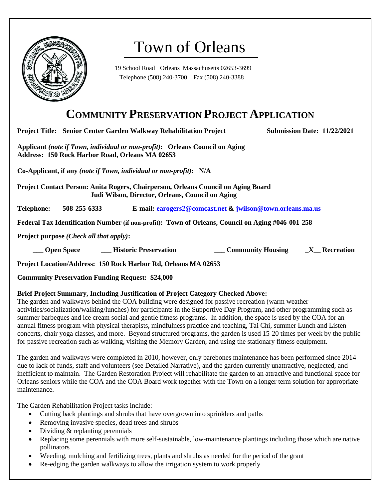

# Town of Orleans

19 School Road Orleans Massachusetts 02653-3699 Telephone (508) 240-3700 – Fax (508) 240-3388

### **COMMUNITY PRESERVATION PROJECT APPLICATION**

**Project Title: Senior Center Garden Walkway Rehabilitation Project Submission Date: 11/22/2021** 

**Applicant** *(note if Town, individual or non-profit)***: Orleans Council on Aging Address: 150 Rock Harbor Road, Orleans MA 02653**

**Co-Applicant, if any** *(note if Town, individual or non-profit)***: N/A**

**Project Contact Person: Anita Rogers, Chairperson, Orleans Council on Aging Board Judi Wilson, Director, Orleans, Council on Aging**

**Telephone: 508-255-6333 E-mail: [earogers2@comcast.net](mailto:earogers2@comcast.net) & [jwilson@town.orleans.ma.us](mailto:jwilson@town.orleans.ma.us)**

**Federal Tax Identification Number (if non-profit): Town of Orleans, Council on Aging #046-001-258**

**Project purpose** *(Check all that apply)***:** 

 **\_\_\_ Open Space \_\_\_ Historic Preservation \_\_\_ Community Housing \_X\_\_ Recreation**

**Project Location/Address: 150 Rock Harbor Rd, Orleans MA 02653**

**Community Preservation Funding Request: \$24,000**

#### **Brief Project Summary, Including Justification of Project Category Checked Above:**

The garden and walkways behind the COA building were designed for passive recreation (warm weather activities/socialization/walking/lunches) for participants in the Supportive Day Program, and other programming such as summer barbeques and ice cream social and gentle fitness programs. In addition, the space is used by the COA for an annual fitness program with physical therapists, mindfulness practice and teaching, Tai Chi, summer Lunch and Listen concerts, chair yoga classes, and more. Beyond structured programs, the garden is used 15-20 times per week by the public for passive recreation such as walking, visiting the Memory Garden, and using the stationary fitness equipment.

The garden and walkways were completed in 2010, however, only barebones maintenance has been performed since 2014 due to lack of funds, staff and volunteers (see Detailed Narrative), and the garden currently unattractive, neglected, and inefficient to maintain. The Garden Restoration Project will rehabilitate the garden to an attractive and functional space for Orleans seniors while the COA and the COA Board work together with the Town on a longer term solution for appropriate maintenance.

The Garden Rehabilitation Project tasks include:

- Cutting back plantings and shrubs that have overgrown into sprinklers and paths
- Removing invasive species, dead trees and shrubs
- Dividing & replanting perennials
- Replacing some perennials with more self-sustainable, low-maintenance plantings including those which are native pollinators
- Weeding, mulching and fertilizing trees, plants and shrubs as needed for the period of the grant
- Re-edging the garden walkways to allow the irrigation system to work properly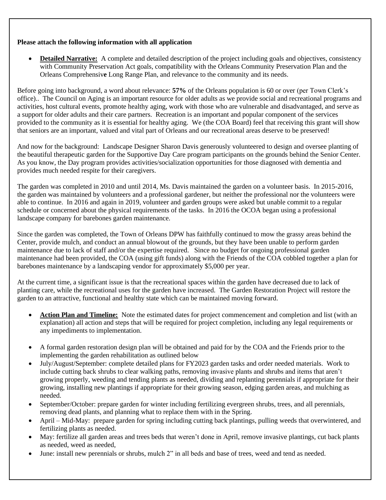#### **Please attach the following information with all application**

**Detailed Narrative:** A complete and detailed description of the project including goals and objectives, consistency with Community Preservation Act goals, compatibility with the Orleans Community Preservation Plan and the Orleans Comprehensiv**e** Long Range Plan, and relevance to the community and its needs.

Before going into background, a word about relevance: **57%** of the Orleans population is 60 or over (per Town Clerk's office).. The Council on Aging is an important resource for older adults as we provide social and recreational programs and activities, host cultural events, promote healthy aging, work with those who are vulnerable and disadvantaged, and serve as a support for older adults and their care partners. Recreation is an important and popular component of the services provided to the community as it is essential for healthy aging. We (the COA Board) feel that receiving this grant will show that seniors are an important, valued and vital part of Orleans and our recreational areas deserve to be preserved!

And now for the background: Landscape Designer Sharon Davis generously volunteered to design and oversee planting of the beautiful therapeutic garden for the Supportive Day Care program participants on the grounds behind the Senior Center. As you know, the Day program provides activities/socialization opportunities for those diagnosed with dementia and provides much needed respite for their caregivers.

The garden was completed in 2010 and until 2014, Ms. Davis maintained the garden on a volunteer basis. In 2015-2016, the garden was maintained by volunteers and a professional gardener, but neither the professional nor the volunteers were able to continue. In 2016 and again in 2019, volunteer and garden groups were asked but unable commit to a regular schedule or concerned about the physical requirements of the tasks. In 2016 the OCOA began using a professional landscape company for barebones garden maintenance.

Since the garden was completed, the Town of Orleans DPW has faithfully continued to mow the grassy areas behind the Center, provide mulch, and conduct an annual blowout of the grounds, but they have been unable to perform garden maintenance due to lack of staff and/or the expertise required. Since no budget for ongoing professional garden maintenance had been provided, the COA (using gift funds) along with the Friends of the COA cobbled together a plan for barebones maintenance by a landscaping vendor for approximately \$5,000 per year.

At the current time, a significant issue is that the recreational spaces within the garden have decreased due to lack of planting care, while the recreational uses for the garden have increased. The Garden Restoration Project will restore the garden to an attractive, functional and healthy state which can be maintained moving forward.

- **Action Plan and Timeline:** Note the estimated dates for project commencement and completion and list (with an explanation) all action and steps that will be required for project completion, including any legal requirements or any impediments to implementation.
- A formal garden restoration design plan will be obtained and paid for by the COA and the Friends prior to the implementing the garden rehabilitation as outlined below
- July/August/September: complete detailed plans for FY2023 garden tasks and order needed materials. Work to include cutting back shrubs to clear walking paths, removing invasive plants and shrubs and items that aren't growing properly, weeding and tending plants as needed, dividing and replanting perennials if appropriate for their growing, installing new plantings if appropriate for their growing season, edging garden areas, and mulching as needed.
- September/October: prepare garden for winter including fertilizing evergreen shrubs, trees, and all perennials, removing dead plants, and planning what to replace them with in the Spring.
- April Mid-May: prepare garden for spring including cutting back plantings, pulling weeds that overwintered, and fertilizing plants as needed.
- May: fertilize all garden areas and trees beds that weren't done in April, remove invasive plantings, cut back plants as needed, weed as needed,
- June: install new perennials or shrubs, mulch 2" in all beds and base of trees, weed and tend as needed.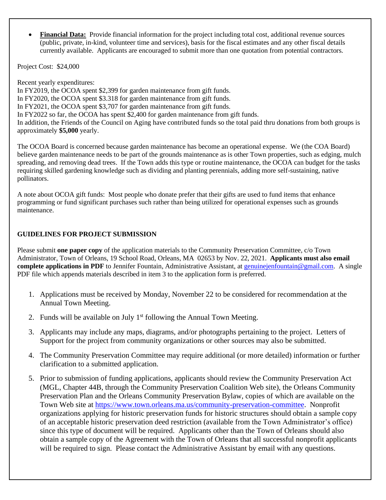• **Financial Data:** Provide financial information for the project including total cost, additional revenue sources (public, private, in-kind, volunteer time and services), basis for the fiscal estimates and any other fiscal details currently available. Applicants are encouraged to submit more than one quotation from potential contractors.

Project Cost: \$24,000

Recent yearly expenditures: In FY2019, the OCOA spent \$2,399 for garden maintenance from gift funds. In FY2020, the OCOA spent \$3.318 for garden maintenance from gift funds. In FY2021, the OCOA spent \$3,707 for garden maintenance from gift funds. In FY2022 so far, the OCOA has spent \$2,400 for garden maintenance from gift funds. In addition, the Friends of the Council on Aging have contributed funds so the total paid thru donations from both groups is approximately **\$5,000** yearly.

The OCOA Board is concerned because garden maintenance has become an operational expense. We (the COA Board) believe garden maintenance needs to be part of the grounds maintenance as is other Town properties, such as edging, mulch spreading, and removing dead trees. If the Town adds this type or routine maintenance, the OCOA can budget for the tasks requiring skilled gardening knowledge such as dividing and planting perennials, adding more self-sustaining, native pollinators.

A note about OCOA gift funds: Most people who donate prefer that their gifts are used to fund items that enhance programming or fund significant purchases such rather than being utilized for operational expenses such as grounds maintenance.

#### **GUIDELINES FOR PROJECT SUBMISSION**

Please submit **one paper copy** of the application materials to the Community Preservation Committee, c/o Town Administrator, Town of Orleans, 19 School Road, Orleans, MA 02653 by Nov. 22, 2021. **Applicants must also email complete applications in PDF** to Jennifer Fountain, Administrative Assistant, at genuine enfountain@gmail.com. A single PDF file which appends materials described in item 3 to the application form is preferred.

- 1. Applications must be received by Monday, November 22 to be considered for recommendation at the Annual Town Meeting.
- 2. Funds will be available on July  $1<sup>st</sup>$  following the Annual Town Meeting.
- 3. Applicants may include any maps, diagrams, and/or photographs pertaining to the project. Letters of Support for the project from community organizations or other sources may also be submitted.
- 4. The Community Preservation Committee may require additional (or more detailed) information or further clarification to a submitted application.
- 5. Prior to submission of funding applications, applicants should review the Community Preservation Act (MGL, Chapter 44B, through the Community Preservation Coalition Web site), the Orleans Community Preservation Plan and the Orleans Community Preservation Bylaw, copies of which are available on the Town Web site at [https://www.town.orleans.ma.us/community-preservation-committee.](https://www.town.orleans.ma.us/community-preservation-committee) Nonprofit organizations applying for historic preservation funds for historic structures should obtain a sample copy of an acceptable historic preservation deed restriction (available from the Town Administrator's office) since this type of document will be required. Applicants other than the Town of Orleans should also obtain a sample copy of the Agreement with the Town of Orleans that all successful nonprofit applicants will be required to sign. Please contact the Administrative Assistant by email with any questions.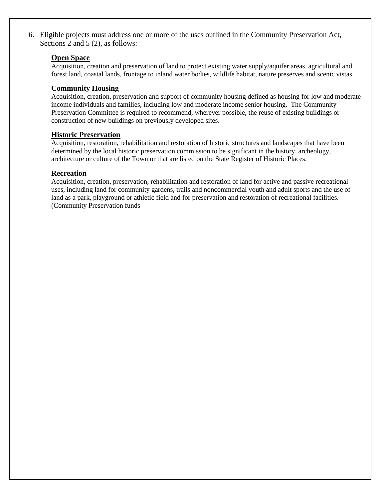6. Eligible projects must address one or more of the uses outlined in the Community Preservation Act, Sections 2 and 5 (2), as follows:

#### **Open Space**

Acquisition, creation and preservation of land to protect existing water supply/aquifer areas, agricultural and forest land, coastal lands, frontage to inland water bodies, wildlife habitat, nature preserves and scenic vistas.

#### **Community Housing**

Acquisition, creation, preservation and support of community housing defined as housing for low and moderate income individuals and families, including low and moderate income senior housing. The Community Preservation Committee is required to recommend, wherever possible, the reuse of existing buildings or construction of new buildings on previously developed sites.

#### **Historic Preservation**

Acquisition, restoration, rehabilitation and restoration of historic structures and landscapes that have been determined by the local historic preservation commission to be significant in the history, archeology, architecture or culture of the Town or that are listed on the State Register of Historic Places.

#### **Recreation**

Acquisition, creation, preservation, rehabilitation and restoration of land for active and passive recreational uses, including land for community gardens, trails and noncommercial youth and adult sports and the use of land as a park, playground or athletic field and for preservation and restoration of recreational facilities. (Community Preservation funds